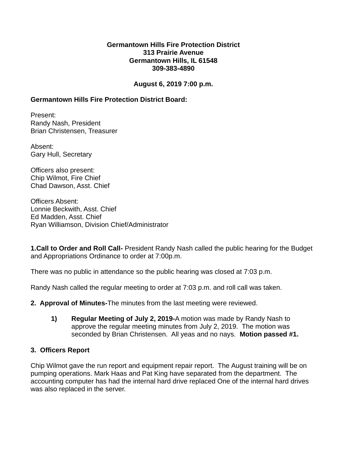### **Germantown Hills Fire Protection District 313 Prairie Avenue Germantown Hills, IL 61548 309-383-4890**

## **August 6, 2019 7:00 p.m.**

## **Germantown Hills Fire Protection District Board:**

Present: Randy Nash, President Brian Christensen, Treasurer

Absent: Gary Hull, Secretary

Officers also present: Chip Wilmot, Fire Chief Chad Dawson, Asst. Chief

Officers Absent: Lonnie Beckwith, Asst. Chief Ed Madden, Asst. Chief Ryan Williamson, Division Chief/Administrator

**1.Call to Order and Roll Call-** President Randy Nash called the public hearing for the Budget and Appropriations Ordinance to order at 7:00p.m.

There was no public in attendance so the public hearing was closed at 7:03 p.m.

Randy Nash called the regular meeting to order at 7:03 p.m. and roll call was taken.

**2. Approval of Minutes-**The minutes from the last meeting were reviewed.

**1) Regular Meeting of July 2, 2019-**A motion was made by Randy Nash to approve the regular meeting minutes from July 2, 2019. The motion was seconded by Brian Christensen. All yeas and no nays. **Motion passed #1.**

## **3. Officers Report**

Chip Wilmot gave the run report and equipment repair report. The August training will be on pumping operations. Mark Haas and Pat King have separated from the department. The accounting computer has had the internal hard drive replaced One of the internal hard drives was also replaced in the server.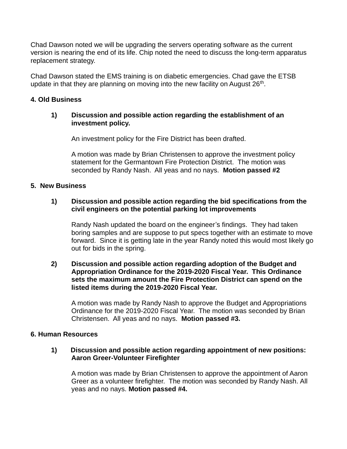Chad Dawson noted we will be upgrading the servers operating software as the current version is nearing the end of its life. Chip noted the need to discuss the long-term apparatus replacement strategy.

Chad Dawson stated the EMS training is on diabetic emergencies. Chad gave the ETSB update in that they are planning on moving into the new facility on August 26<sup>th</sup>.

### **4. Old Business**

### **1) Discussion and possible action regarding the establishment of an investment policy.**

An investment policy for the Fire District has been drafted.

A motion was made by Brian Christensen to approve the investment policy statement for the Germantown Fire Protection District. The motion was seconded by Randy Nash. All yeas and no nays. **Motion passed #2**

### **5. New Business**

### **1) Discussion and possible action regarding the bid specifications from the civil engineers on the potential parking lot improvements**

Randy Nash updated the board on the engineer's findings. They had taken boring samples and are suppose to put specs together with an estimate to move forward. Since it is getting late in the year Randy noted this would most likely go out for bids in the spring.

#### **2) Discussion and possible action regarding adoption of the Budget and Appropriation Ordinance for the 2019-2020 Fiscal Year. This Ordinance sets the maximum amount the Fire Protection District can spend on the listed items during the 2019-2020 Fiscal Year.**

A motion was made by Randy Nash to approve the Budget and Appropriations Ordinance for the 2019-2020 Fiscal Year. The motion was seconded by Brian Christensen. All yeas and no nays. **Motion passed #3.**

#### **6. Human Resources**

#### **1) Discussion and possible action regarding appointment of new positions: Aaron Greer-Volunteer Firefighter**

A motion was made by Brian Christensen to approve the appointment of Aaron Greer as a volunteer firefighter. The motion was seconded by Randy Nash. All yeas and no nays. **Motion passed #4.**